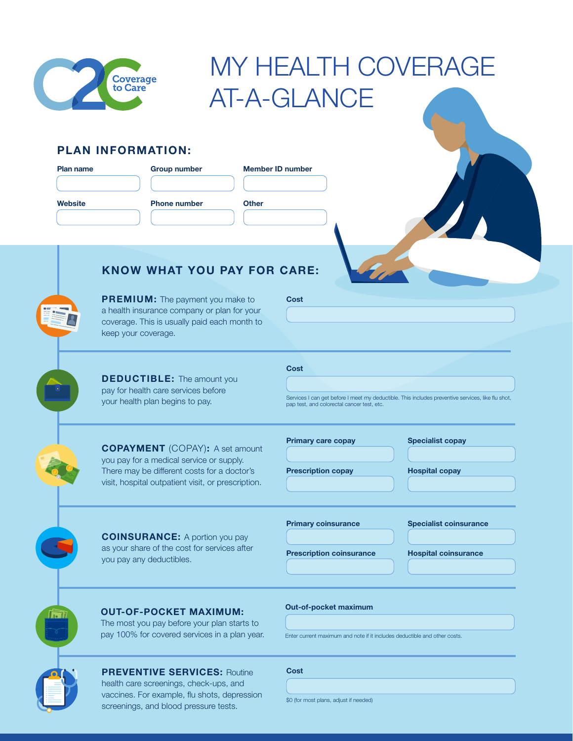

# MY HEALTH COVERAGE AT-A-GLANCE

# PLAN INFORMATION:

| <b>Plan name</b> | <b>Group number</b> | <b>Memb</b> |
|------------------|---------------------|-------------|
|                  |                     |             |
| <b>Website</b>   | <b>Phone number</b> | Other       |
|                  |                     |             |

**Member ID number** 

PREMIUM: The payment you make to a health insurance company or plan for your coverage. This is usually paid each month to keep your coverage.

KNOW WHAT YOU PAY FOR CARE:

## **Cost**

**Cost** 

**DEDUCTIBLE:** The amount you pay for health care services before your health plan begins to pay.

COPAYMENT (COPAY): A set amount you pay for a medical service or supply. There may be different costs for a doctor's visit, hospital outpatient visit, or prescription.

Services I can get before I meet my deductible. This includes preventive services, like flu shot,<br>nan test, and colorectal cancer test, etc. pap test, and colorectal cancer te

Primary care copay

Specialist copay

Prescription copay

Primary coinsurance

Hospital copay

Specialist coinsurance

Prescription coinsurance

Hospital coinsurance

OUT-OF-POCKET MAXIMUM:

COINSURANCE: A portion you pay as your share of the cost for services after

you pay any deductibles.

The most you pay before your plan starts to pay 100% for covered services in a plan year.

PREVENTIVE SERVICES: Routine health care screenings, check-ups, and vaccines. For example, flu shots, depression screenings, and blood pressure tests.

#### Out-of-pocket maximum

Enter current maximum and note if it includes deductible and other costs.

#### **Cost**

\$0 (for most plans, adjust if needed)